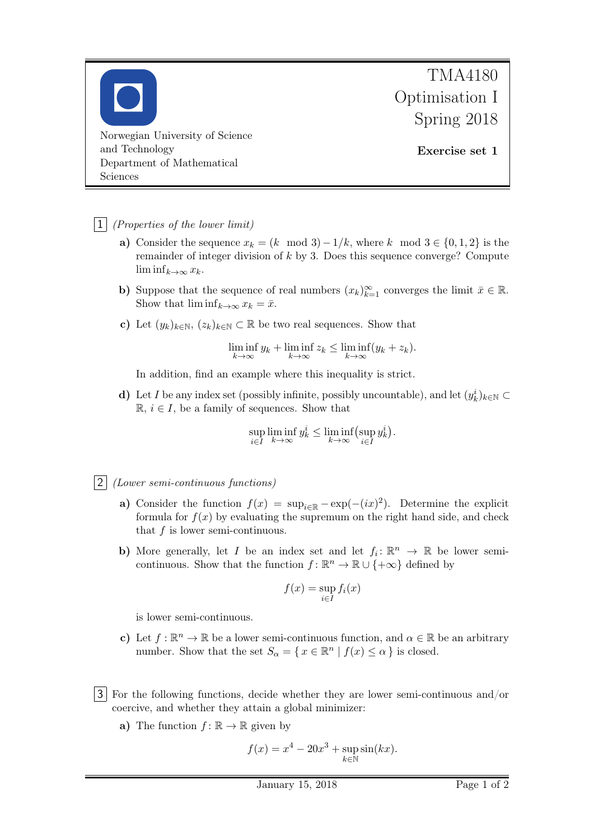

## $\vert 1 \vert$  (Properties of the lower limit)

- a) Consider the sequence  $x_k = (k \mod 3) 1/k$ , where k mod  $3 \in \{0, 1, 2\}$  is the remainder of integer division of  $k$  by 3. Does this sequence converge? Compute  $\liminf_{k\to\infty}x_k$ .
- b) Suppose that the sequence of real numbers  $(x_k)_{k=1}^{\infty}$  converges the limit  $\bar{x} \in \mathbb{R}$ . Show that  $\liminf_{k\to\infty} x_k = \bar{x}$ .
- c) Let  $(y_k)_{k\in\mathbb{N}}$ ,  $(z_k)_{k\in\mathbb{N}}\subset\mathbb{R}$  be two real sequences. Show that

$$
\liminf_{k \to \infty} y_k + \liminf_{k \to \infty} z_k \le \liminf_{k \to \infty} (y_k + z_k).
$$

In addition, find an example where this inequality is strict.

d) Let I be any index set (possibly infinite, possibly uncountable), and let  $(y_k^i)_{k \in \mathbb{N}} \subset$  $\mathbb{R}, i \in I$ , be a family of sequences. Show that

$$
\sup_{i \in I} \liminf_{k \to \infty} y_k^i \le \liminf_{k \to \infty} (\sup_{i \in I} y_k^i).
$$

- 2 (Lower semi-continuous functions)
	- a) Consider the function  $f(x) = \sup_{i \in \mathbb{R}} -\exp(-(ix)^2)$ . Determine the explicit formula for  $f(x)$  by evaluating the supremum on the right hand side, and check that  $f$  is lower semi-continuous.
	- b) More generally, let I be an index set and let  $f_i: \mathbb{R}^n \to \mathbb{R}$  be lower semicontinuous. Show that the function  $f: \mathbb{R}^n \to \mathbb{R} \cup \{+\infty\}$  defined by

$$
f(x) = \sup_{i \in I} f_i(x)
$$

is lower semi-continuous.

- c) Let  $f : \mathbb{R}^n \to \mathbb{R}$  be a lower semi-continuous function, and  $\alpha \in \mathbb{R}$  be an arbitrary number. Show that the set  $S_{\alpha} = \{ x \in \mathbb{R}^n \mid f(x) \leq \alpha \}$  is closed.
- 3 For the following functions, decide whether they are lower semi-continuous and/or coercive, and whether they attain a global minimizer:
	- a) The function  $f: \mathbb{R} \to \mathbb{R}$  given by

$$
f(x) = x^4 - 20x^3 + \sup_{k \in \mathbb{N}} \sin(kx).
$$